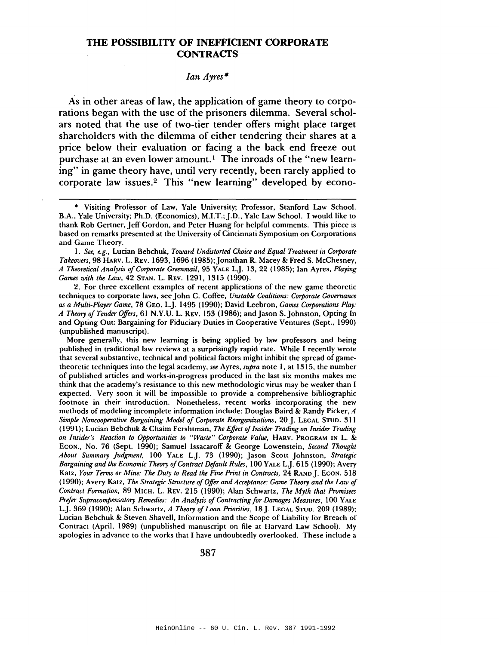## **THE POSSIBILITY OF INEFFICIENT CORPORATE CONTRACTS**

## *Ian Ayres·*

As in other areas of law, the application of game theory to corporations began with the use of the prisoners dilemma. Several scholars noted that the use of two-tier tender offers might place target shareholders with the dilemma of either tendering their shares at a price below their evaluation or facing a the back end freeze out purchase at an even lower amount.<sup>1</sup> The inroads of the "new learning" in game theory have, until very recently, been rarely applied to corporate law issues.<sup>2</sup> This "new learning" developed by econo-

2. For three excellent examples of recent applications of the new game theoretic techniques to corporate laws, see John C. Coffee, *Unstable Coalitions: Corporate Governance as a Multi-Player Game,* 78 GEO. LJ. 1495 (1990); David Leebron, *Games Corporations Play: A Theory of Tender Offers,* 61 N.Y.U. L. REV. 153 (1986); and Jason S.Johnston, Opting In and Opting Out: Bargaining for Fiduciary Duties in Cooperative Ventures (Sept., 1990) (unpublished manuscript).

More generally, this new learning is being applied by law professors and being published in traditional law reviews at a surprisingly rapid rate. While I recently wrote that several substantive, technical and political factors might inhibit the spread of gametheoretic techniques into the legal academy, *see* Ayres, *supra* note I, at 1315, the number of published articles and works-in-progress produced in the last six months makes me think that the academy's resistance to this new methodologic virus may be weaker than I expected. Very soon it will be impossible to provide a comprehensive bibliographic footnote in their introduction. Nonetheless, recent works incorporating the new methods of modeling incomplete information include: Douglas Baird & Randy Picker, *A Simple Noncooperative Bargaining Model of Corporate Reorganizations,* 20 J. LEGAL STUD. 311 (1991); Lucian Bebchuk & Chaim Fershtman, *The Effect ofInsider Trading on Insider Trading on Insider's Reaction to Opportunities to "Waste" Corporate Value,* HARV. PROGRAM IN L. & ECON., No. 76 (Sept. 1990); Samuel Issacaroff & George Lowenstein, *Second Thought About Summary Judgment,* 100 YALE LJ. 73 (1990); Jason Scott Johnston, *Strategic Bargaining and the Economic Theory of Contract Default Rules,* 100 YALE L.J. 615 (1990); Avery Katz, *Your Terms or Mine: The Duty to Read the Fine Print in Contracts,* 24 RAND J. ECON. 518 (1990); Avery Katz, *The Strategic Structure ofOffer and Acceptance: Game Theory and the Law of Contract Formation,* 89 MICH. L. REV. 215 (1990); Alan Schwartz, *The Myth that Promisees Prefer Supracompensatory Remedies: An Analysis ofContracting for Damages Measures,* 100 YALE LJ. 369 (1990); Alan Schwartz, *A Theory of Loan Priorities,* 18 J. LEGAL STUD. 209 (1989); Lucian Bebchuk & Steven Shavell, Information and the Scope of Liability for Breach of Contract (April, 1989) (unpublished manuscript on file at Harvard Law School). My apologies in advance to the works that I have undoubtedly overlooked. These include a

<sup>•</sup> Visiting Professor of Law, Yale University; Professor, Stanford Law School. B.A., Yale University; Ph.D. (Economics), M.I.T.;J.D., Yale Law School. I would like to thank Rob Gertner, Jeff Gordon, and Peter Huang for helpful comments. This piece is based on remarks presented at the University of Cincinnati Symposium on Corporations and Game Theory.

I. *See, e.g.,* Lucian Bebchuk, *Toward Undistorted Choice and Equal Treatment in Corporate Takeovers,* 98 HARV. L. REV. 1693, 1696 (1985);Jonathan R. Macey & Fred S. McChesney, *A Theoretical Analysis ofCorporate Greenmail,* 95 YALE LJ. 13,22 (1985); Ian Ayres, *Playing Games with the Law,* 42 STAN. L. REV. 1291, 1315 (1990).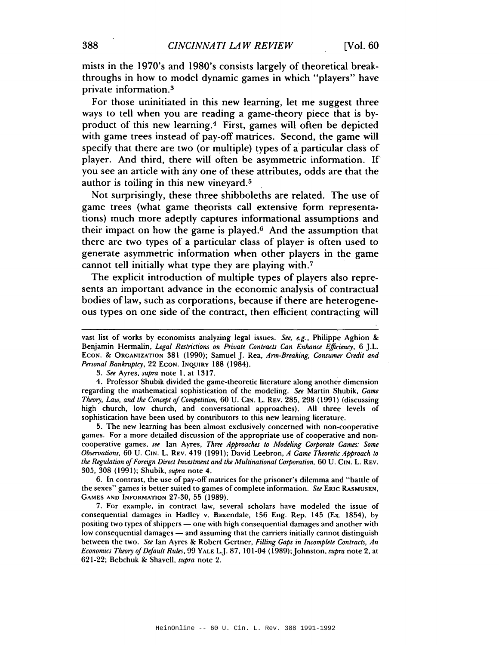mists in the 1970's and 1980's consists largely of theoretical breakthroughs in how to model dynamic games in which "players" have private information. <sup>3</sup>

For those uninitiated in this new learning, let me suggest three ways to tell when you are reading a game-theory piece that is byproduct of this new learning.4 First, games will often be depicted with game trees instead of pay-off matrices. Second, the game will specify that there are two (or multiple) types of a particular class of player. And third, there will' often be asymmetric information. If you see an article with anyone of these attributes, odds are that the author is toiling in this new vineyard.<sup>5</sup>

Not surprisingly, these three shibboleths are related. The use of game trees (what game theorists call extensive form representations) much more adeptly captures informational assumptions and their impact on how the game is played.6 And the assumption that there are two types of a particular class of player is often used to generate asymmetric information when other players in the game cannot tell initially what type they are playing with. <sup>7</sup>

The explicit introduction of multiple types of players also represents an important advance in the economic analysis of contractual bodies of law, such as corporations, because if there are heterogeneous types on one side of the contract, then efficient contracting will

*3. See* Ayres, *supra* note I, at 1317.

4. Professor Shubik divided the game-theoretic literature along another dimension regarding the mathematical sophistication of the modeling. *See* Martin Shubik, *Game Theory, Law, and the Concept of Competition,* 60 U. Cin. L. REV. 285, 298 (1991) (discussing high church, low church, and conversational approaches). All three levels of sophistication have been used by contributors to this new learning literature.

5. The new learning has been almost exclusively concerned with non-cooperative games. For a more detailed discussion of the appropriate use of cooperative and noncooperative games, *see* Ian Ayres, *Three Approaches to Modeling Corporate Games: Some Observations,* 60 U. GIN. L. REV. 419 (1991); David Leebron, *A Game Theoretic Approach to the Regulation ofForeign Direct Investment and the Multinational Corporation,* 60 U. GIN. L. REV. 305, 308 (1991); Shubik, *supra* note 4.

6. In contrast, the use of pay-off matrices for the prisoner's dilemma and "battle of the sexes" games is better suited to games of complete information. *See* ERIC RASMUSEN, GAMES AND INFORMATION 27-30, 55 (1989).

7. For example, in contract law, several scholars have modeled the issue of consequential damages in Hadley v. Baxendale, 156 Eng. Rep. 145 (Ex. 1854), by positing two types of shippers - one with high consequential damages and another with low consequential damages - and assuming that the carriers initially cannot distinguish between the two. *See* Ian Ayres & Robert Gertner, *Filling Gaps in Incomplete Contracts, An Economics Theory ofDefault Rules,* 99 YALE LJ. 87, 101-04 (1989);Johnston, *supra* note 2, at 621-22; Bebchuk & Shavell, *supra* note 2.

vast list of works by economists analyzing legal issues. *See, e.g.,* Philippe Aghion & Benjamin Hermalin, *Legal Restrictions on Private Contracts Can Enhance Efficiency,* 6 J.L. ECON. & ORGANIZATION 381 (1990); Samuel J. Rea, *Arm-Breaking, Consumer Credit and Personal Bankruptcy,* 22 ECON. INQUIRY 188 (1984).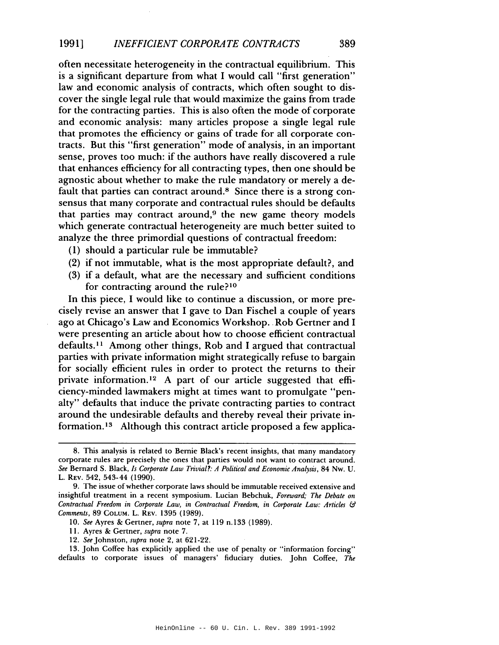often necessitate heterogeneity in the contractual equilibrium. This is a significant departure from what I would call "first generation" law and economic analysis of contracts, which often sought to discover the single legal rule that would maximize the gains from trade for the contracting parties. This is also often the mode of corporate and economic analysis: many articles propose a single legal rule that promotes the efficiency or gains of trade for all corporate contracts. But this "first generation" mode of analysis, in an important sense, proves too much: if the authors have really discovered a rule that enhances efficiency for all contracting types, then one should be agnostic about whether to make the rule mandatory or merely a default that parties can contract around.<sup>8</sup> Since there is a strong consensus that many corporate and contractual rules should be defaults that parties may contract around, $9$  the new game theory models which generate contractual heterogeneity are much better suited to analyze the three primordial questions of contractual freedom:

- (1) should a particular rule be immutable?
- (2) if not immutable, what is the most appropriate default?, and
- (3) if a default, what are the necessary and sufficient conditions for contracting around the rule?<sup>10</sup>

In this piece, I would like to continue a discussion, or more precisely revise an answer that I gave to Dan Fischel a couple of years ago at Chicago's Law and Economics Workshop. Rob Gertner and I were presenting an article about how to choose efficient contractual  $defaults.<sup>11</sup>$  Among other things, Rob and I argued that contractual parties with private information might strategically refuse to bargain for socially efficient rules in order to protect the returns to their private information. <sup>12</sup> A part of our article suggested that efficiency-minded lawmakers might at times want to promulgate "penalty" defaults that induce the private contracting parties to contract around the undesirable defaults and thereby reveal their private information. <sup>13</sup> Although this contract article proposed a few applica-

*12. See* Johnston, *supra* note 2, at 621-22.

13. John Coffee has explicitly applied the use of penalty or "information forcing" defaults to corporate issues of managers' fiduciary duties. John Colfee, *The*

<sup>8.</sup> This analysis is related to Bernie Black's recent insights, that many mandatory corporate rules are precisely the ones that parties would not want to contract around. *See* Bernard S. Black, *Is Corporate Law Trivial?: A Political and Economic Analysis,* 84 Nw. U. L. REV. 542, 543-44 (1990).

<sup>9.</sup> The issue of whether corporate laws should be immutable received extensive and insightful treatment in a recent symposium. Lucian Bebchuk, *Foreward; The Debate on Contractual Freedom in Corporate Law, in Contractual Freedom, in Corporate Law: Articles* & *Comments,* 89COLUM. L. REV. 1395 (1989).

*<sup>10.</sup> See* Ayres & Gertner, *supra* note 7, at 119 n.133 (1989).

II. Ayres & Gertner, *supra* note 7.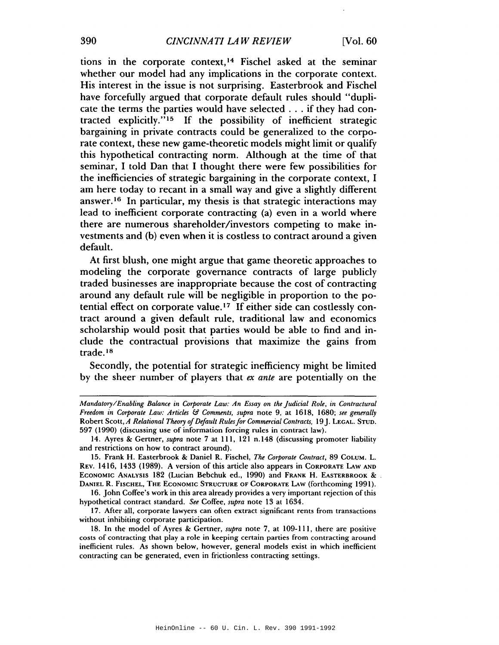tions in the corporate context,14 Fischel asked at the seminar whether our model had any implications in the corporate context. His interest in the issue is not surprising. Easterbrook and Fischel have forcefully argued that corporate default rules should "duplicate the terms the parties would have selected ... if they had contracted explicitly." <sup>15</sup> If the possibility of inefficient strategic bargaining in private contracts could be generalized to the corporate context, these new game-theoretic models might limit or qualify this hypothetical contracting norm. Although at the time of that seminar, I told Dan that I thought there were few possibilities for the inefficiencies of strategic bargaining in the corporate context, I am here today to recant in a small way and give a slightly different answer. <sup>16</sup> In particular, my thesis is that strategic interactions may lead to inefficient corporate contracting (a) even in a world where there are numerous shareholder/investors competing to make investments and (b) even when it is costless to contract around a given default.

At first blush, one might argue that game theoretic approaches to modeling the corporate governance contracts of large publicly traded businesses are inappropriate because the cost of contracting around any default rule will be negligible in proportion to the potential effect on corporate value.<sup>17</sup> If either side can costlessly contract around a given default rule, traditional law and economics scholarship would posit that parties would be able to find and include the contractual provisions that maximize the gains from trade.<sup>18</sup>

Secondly, the potential for strategic inefficiency might be limited by the sheer number of players that *ex ante* are potentially on the

16. John Coffee's work in this area already provides a very important rejection of this hypothetical contract standard. *See* Coffee, *supra* note 13 at 1634.

17. After all, corporate lawyers can often extract significant rents from transactions without inhibiting corporate participation.

18. In the model of Ayres & Gertner, *supra* note 7, at 109-111, there are positive costs of contracting that playa role in keeping certain parties from contracting around inefficient rules. As shown below, however, general models exist in which inefficient contracting can be generated, even in frictionless contracting settings.

*Mandatory/Enabling Balance in Corporate Law: An Essay on the Judicial Role, in Contractural Freedom in Corporate Law: Articles* & *Comments, supra* note 9, at 1618, 1680; *see generally* Robert Scott, *A Relational Theory ofDefault Rulesfor Commercial Contracts,* 19J. LEGAL. STUD. 597 (1990) (discussing use of information forcing rules in contract law).

<sup>14.</sup> Ayres & Gertner, *supra* note 7 at Ill, 121 n.148 (discussing promoter liability and restrictions on how to contract around).

<sup>15.</sup> Frank H. Easterbrook & Daniel R. Fischel, *The Corporate Contract,* 89 COLUM. L. REV. 1416, 1433 (1989). A version of this article also appears in CORPORATE LAw AND ECONOMIC ANALYSIS 182 (Lucian Bebchuk ed., 1990) and FRANK H. EASTERBROOK & . DANIEL R. FISCHEL, THE ECONOMIC STRUCTURE OF CORPORATE LAw (forthcoming 1991).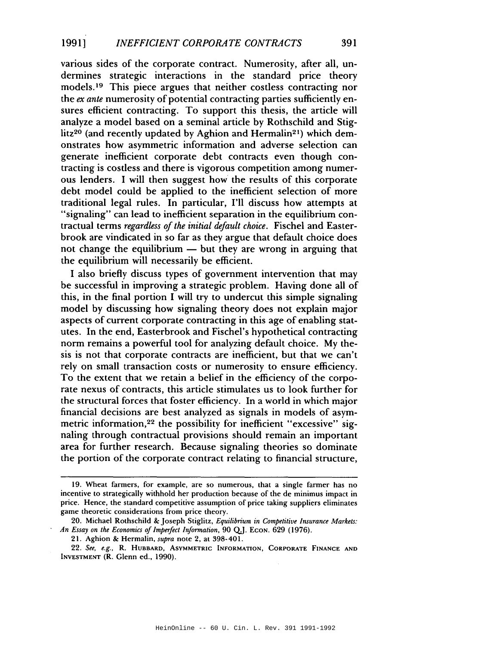various sides of the corporate contract. Numerosity, after all, undermines strategic interactions in the standard price theory models. <sup>19</sup> This piece argues that neither costless contracting nor the *ex ante* numerosity of potential contracting parties sufficiently ensures efficient contracting. To support this thesis, the article will analyze a model based on a seminal article by Rothschild and Stiglitz<sup>20</sup> (and recently updated by Aghion and Hermalin<sup>21</sup>) which demonstrates how asymmetric information and adverse selection can generate inefficient corporate debt contracts even though contracting is costless and there is vigorous competition among numerous lenders. I will then suggest how the results of this corporate debt model could be applied to the inefficient selection of more traditional legal rules. In particular, I'll discuss how attempts at "signaling" can lead to inefficient separation in the equilibrium contractual terms *regardless of the initial default choice*. Fischel and Easterbrook are vindicated in so far as they argue that default choice does not change the equilibrium  $-$  but they are wrong in arguing that the equilibrium will necessarily be efficient.

I also briefly discuss types of government intervention that may be successful in improving a strategic problem. Having done all of this, in the final portion I will try to undercut this simple signaling model by discussing how signaling theory does not explain major aspects of current corporate contracting in this age of enabling statutes. In the end, Easterbrook and Fischel's hypothetical contracting norm remains a powerful tool for analyzing default choice. My thesis is not that corporate contracts are inefficient, but that we can't rely on small transaction costs or numerosity to ensure efficiency. To the extent that we retain a belief in the efficiency of the corporate nexus of contracts, this article stimulates us to look further for the structural forces that foster efficiency. In a world in which major financial decisions are best analyzed as signals in models of asymmetric information,<sup>22</sup> the possibility for inefficient "excessive" signaling through contractual provisions should remain an important area for further research. Because signaling theories so dominate the portion of the corporate contract relating to financial structure,

<sup>19.</sup> Wheat farmers, for example, are so numerous, that a single farmer has no incentive to strategically withhold her production because of the de minimus impact in price. Hence, the standard competitive assumption of price taking suppliers eliminates game theoretic considerations from price theory.

<sup>20.</sup> Michael Rothschild & Joseph Stiglitz, *Equilibrium in Competitive Insurance Markets: An Essay on the Economics of Imperfect Information,* 90 QJ. ECON. 629 (1976).

<sup>21.</sup> Aghion & Hermalin, *supra* note 2, at 398-401.

<sup>22.</sup> See, e.g., R. HUBBARD, ASYMMETRIC INFORMATION, CORPORATE FINANCE AND INVESTMENT (R. Glenn ed., 1990).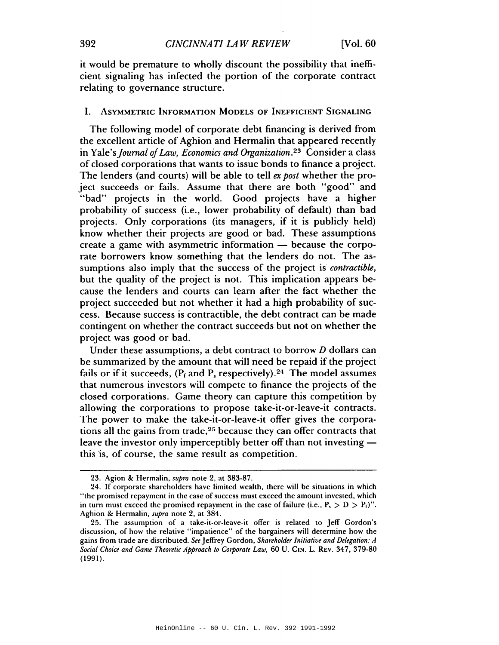it would be premature to wholly discount the possibility that inefficient signaling has infected the portion of the corporate contract relating to governance structure.

## I. ASYMMETRIC INFORMATION MODELS OF INEFFICIENT SIGNALING

The following model of corporate debt financing is derived from the excellent article of Aghion and Hermalin that appeared recently in *Yale'sJournal ofLaw, Economics and Organization. <sup>23</sup>* Consider a class of closed corporations that wants to issue bonds to finance a project. The lenders (and courts) will be able to tell *ex post* whether the project succeeds or fails. Assume that there are both "good" and "bad" projects in the world. Good projects have a higher probability of success (i.e., lower probability of default) than bad projects. Only corporations (its managers, if it is publicly held) know whether their projects are good or bad. These assumptions create a game with asymmetric information - because the corporate borrowers know something that the lenders do not. The assumptions also imply that the success of the project is *contractible*, but the quality of the project is not. This implication appears because the lenders and courts can learn after the fact whether the project succeeded but not whether it had a high probability of success. Because success is contractible, the debt contract can be made contingent on whether the contract succeeds but not on whether the project was good or bad.

Under these assumptions, a debt contract to borrow *D* dollars can be summarized by the amount that will need be repaid if the project fails or if it succeeds,  $(P_f \text{ and } P_s \text{ respectively})$ .<sup>24</sup> The model assumes that numerous investors will compete to finance the projects of the closed corporations. Game theory can capture this competition by allowing the corporations to propose take-it-or-leave-it contracts. The power to make the take-it-or-leave-it offer gives the corporations all the gains from trade,25 because they can offer contracts that leave the investor only imperceptibly better off than not investing this is, of course, the same result as competition.

<sup>23.</sup> Agion & Hermalin, *supra* note 2, at 383-87.

<sup>24.</sup> If corporate shareholders have limited wealth, there will be situations in which "the promised repayment in the case of success must exceed the amount invested, which in turn must exceed the promised repayment in the case of failure (i.e.,  $P_1 > D > P_1$ )". Aghion & Hermalin, *supra* note 2, at 384.

<sup>25.</sup> The assumption of a take-it-or-Ieave-it offer is related to Jeff Gordon's discussion, of how the relative "impatience" of the bargainers will determine how the gains from trade are distributed. *See* Jeffrey Gordon, *Shareholder Initiative and Delegation: A Social Choice and Game Theoretic Approach to Corporate Law,* 60 U. CIN. L. REV. 347, 379-80 (1991).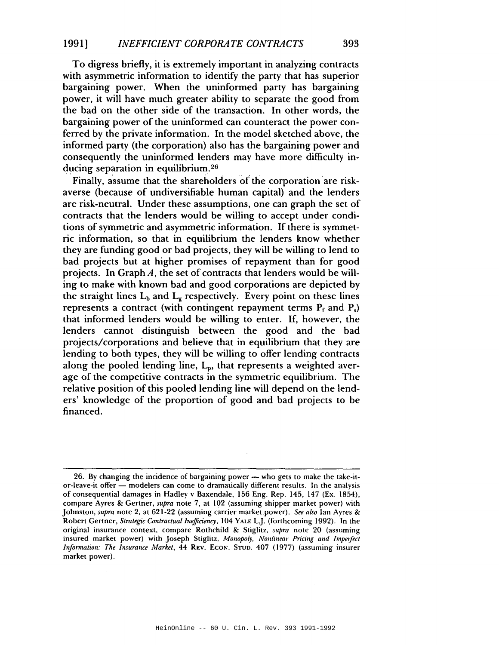To digress briefly, it is extremely important in analyzing contracts with asymmetric information to identify the party that has superior bargaining power. When the uninformed party has bargaining power, it will have much greater ability to separate the good from the bad on the other side of the transaction. In other words, the bargaining power of the uninformed can counteract the power conferred by the private information. In the model sketched above, the informed party (the corporation) also has the bargaining power and consequently the uninformed lenders may have more difficulty inducing separation in equilibrium.<sup>26</sup>

Finally, assume that the shareholders of the corporation are riskaverse (because of undiversifiable human capital) and the lenders are risk-neutral. Under these assumptions, one can graph the set of contracts that the lenders would be willing to accept under conditions of symmetric and asymmetric information. If there is symmetric information, so that in equilibrium the lenders know whether they are funding good or bad projects, they will be willing to lend to bad projects but at higher promises of repayment than for good projects. In Graph  $A$ , the set of contracts that lenders would be willing to make with known bad and good corporations are depicted by the straight lines  $L_b$  and  $L_g$  respectively. Every point on these lines represents a contract (with contingent repayment terms  $P_f$  and  $P_s$ ) that informed lenders would be willing to enter. If, however, the lenders cannot distinguish between the good and the bad projects/corporations and believe that in equilibrium that they are lending to both types, they will be willing to offer lending contracts along the pooled lending line,  $L_p$ , that represents a weighted average of the competitive contracts in the symmetric equilibrium. The relative position of this pooled lending line will depend on the lenders' knowledge of the proportion of good and bad projects to be financed.

<sup>26.</sup> By changing the incidence of bargaining power - who gets to make the take-itor-leave-it offer — modelers can come to dramatically different results. In the analysis of consequential damages in Hadley v Baxendale, 156 Eng. Rep. 145, 147 (Ex. 1854), compare Ayres & Gertner, *supra* note 7, at 102 (assuming shipper market power) with Johnston, *supra* note 2, at 621-22 (assuming carrier market.power). *See also* Ian Ayres & Robert Gertner, *Strategic Contractual Inefficiency,* 104 YALE L.J. (forthcoming 1992). In the original insurance context, compare Rothchild & Stiglitz, *supra* note 20 (assuming insured market power) with Joseph Stiglitz, *Monopoly, Nonlinear Pricing and Imperfect Information: The Insurance Market.* 44 REV. ECON. STUD. 407 (1977) (assuming insurer market power).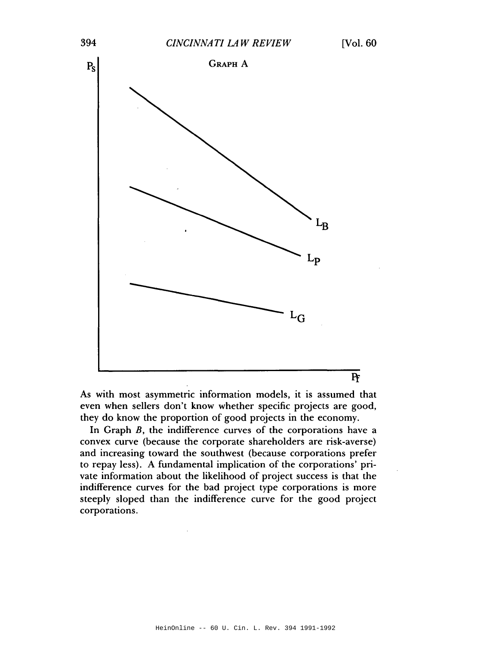

As with most asymmetric information models, it is assumed that even when sellers don't know whether specific projects are good, they do know the proportion of good projects in the economy.

In Graph  $B$ , the indifference curves of the corporations have a convex curve (because the corporate shareholders are risk-averse) and increasing toward the southwest (because corporations prefer to repay less). A fundamental implication of the corporations' private information about the likelihood of project success is that the indifference curves for the bad project type corporations is more steeply sloped than the indifference curve for the good project corporations.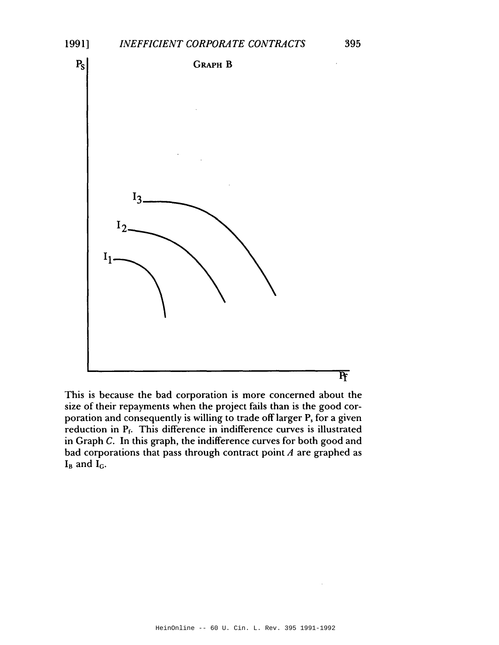

This is because the bad corporation is more concerned about the size of their repayments when the project fails than is the good corporation and consequently is willing to trade off larger P, for a given reduction in Pr. This difference in indifference curves is illustrated in Graph C. **In** this graph, the indifference curves for both good and bad corporations that pass through contract point *A* are graphed as  $I_B$  and  $I_G$ .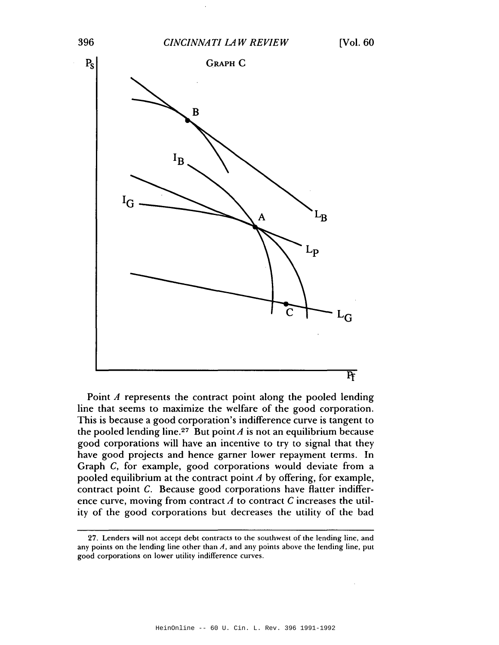

Point *A* represents the contract point along the pooled lending line that seems to maximize the welfare of the good corporation. This is because a good corporation's indifference curve is tangent to the pooled lending line.<sup>27</sup> But point  $A$  is not an equilibrium because good corporations will have an incentive to try to signal that they have good projects and hence garner lower repayment terms. In Graph C, for example, good corporations would deviate from a pooled equilibrium at the contract point *A* by offering, for example, contract point C. Because good corporations have flatter indifference curve, moving from contract  $A$  to contract  $C$  increases the utility of the good corporations but decreases the utility of the bad

<sup>27.</sup> Lenders will not accept debt contracts to the southwest of the lending line, and any points on the lending line other than  $A$ , and any points above the lending line, put good corporations on lower utility indifference curves.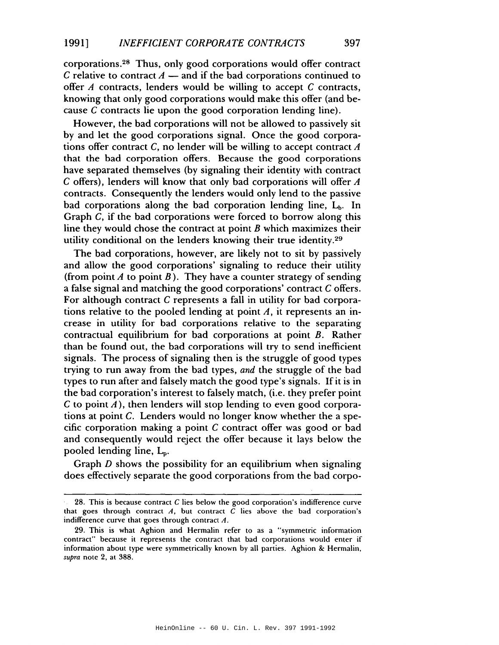corporations.28 Thus, only good corporations would offer contract C relative to contract  $A$  - and if the bad corporations continued to offer *A* contracts, lenders would be willing to accept *C* contracts, knowing that only good corporations would make this offer (and because C contracts lie upon the good corporation lending line).

However, the bad corporations will not be allowed to passively sit by and let the good corporations signal. Once the good corporations offer contract C, no lender will be willing to accept contract *A* that the bad corporation offers. Because the good corporations have separated themselves (by signaling their identity with contract C offers), lenders will know that only bad corporations will offer *A* contracts. Consequently the lenders would only lend to the passive bad corporations along the bad corporation lending line,  $L_b$ . In Graph C, if the bad corporations were forced to borrow along this line they would chose the contract at point  $B$  which maximizes their utility conditional on the lenders knowing their true identity.29

The bad corporations, however, are likely not to sit by passively and allow the good corporations' signaling to reduce their utility (from point  $A$  to point  $B$ ). They have a counter strategy of sending a false signal and matching the good corporations' contract Coffers. For although contract C represents a fall in utility for bad corporations relative to the pooled lending at point  $A$ , it represents an increase in utility for bad corporations relative to the separating contractual equilibrium for bad corporations at point B. Rather than be found out, the bad corporations will try to send inefficient signals. The process of signaling then is the struggle of good types trying to run away from the bad types, *and* the struggle of the bad types to run after and falsely match the good type's signals. If it is in the bad corporation's interest to falsely match, (i.e. they prefer point C to point  $\vec{A}$ ), then lenders will stop lending to even good corporations at point C. Lenders would no longer know whether the a specific corporation making a point  $C$  contract offer was good or bad and consequently would reject the offer because it lays below the pooled lending line,  $L_p$ .

Graph *D* shows the possibility for an equilibrium when signaling does effectively separate the good corporations from the bad corpo-

<sup>28.</sup> This is because contract  $C$  lies below the good corporation's indifference curve that goes through contract  $A$ , but contract  $C$  lies above the bad corporation's indifference curve that goes through contract  $A$ .

<sup>29.</sup> This is what Aghion and Hermalin refer to as a "symmetric information contract" because it represents the contract that bad corporations would enter if information about type were symmetrically known by all parties. Aghion & Hermalin, *supra* note 2, at 388.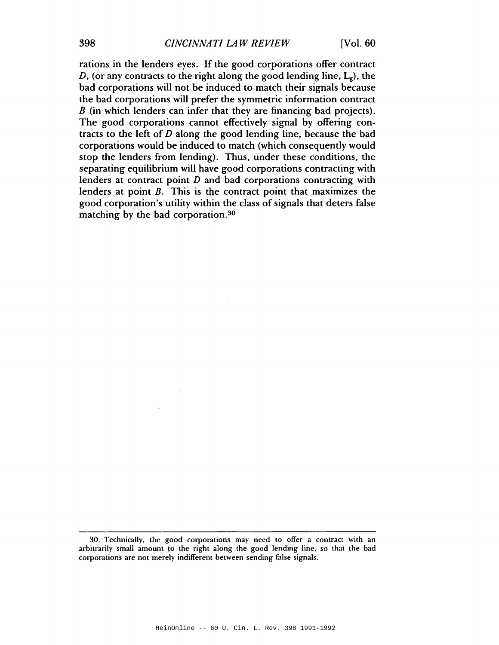rations in the lenders eyes. If the good corporations offer contract D, (or any contracts to the right along the good lending line,  $L_g$ ), the bad corporations will not be induced to match their signals because the bad corporations will prefer the symmetric information contract B (in which lenders can infer that they are financing bad projects). The good corporations cannot effectively signal by offering contracts to the left of  $D$  along the good lending line, because the bad corporations would be induced to match (which consequently would stop the lenders from lending). Thus, under these conditions, the separating equilibrium will have good corporations contracting with lenders at contract point  $D$  and bad corporations contracting with lenders at point B. This is the contract point that maximizes the good corporation's utility within the class of signals that deters false matching by the bad corporation.30

<sup>30.</sup> Technically, the good corporations may need to offer a contract with an arbitrarily small amount to the right along the good lending line, so that the bad corporations are not merely indifferent between sending false signals.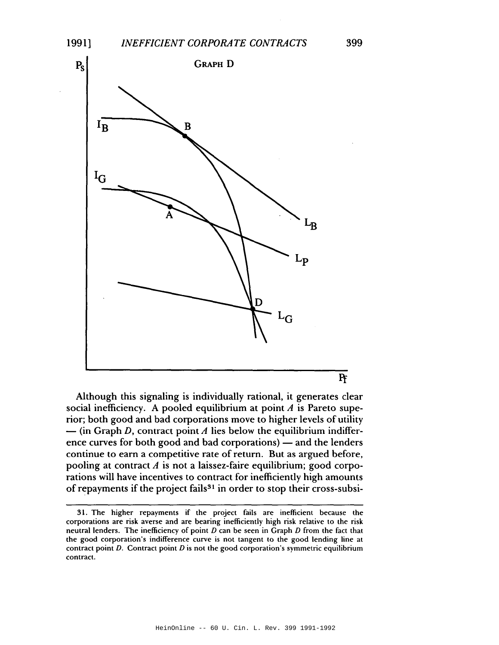

Although this signaling is individually rational, it generates clear social inefficiency. A pooled equilibrium at point *A* is Pareto superior; both good and bad corporations move to higher levels of utility  $\text{-}$  (in Graph D, contract point A lies below the equilibrium indifference curves for both good and bad corporations) - and the lenders continue to earn a competitive rate of return. But as argued before, pooling at contract *A* is not a laissez-faire equilibrium; good corporations will have incentives to contract for inefficiently high amounts of repayments if the project fails<sup>31</sup> in order to stop their cross-subsi-

<sup>31.</sup> The higher repaymenls if the project fails are inefficient because the corporations are risk averse and are bearing inefficienlly high risk relative to the risk neutral lenders. The inefficiency of point  $D$  can be seen in Graph  $D$  from the fact that the good corporation's indifference curve is not tangent to the good lending line at contract point D. Contract point D is not the good corporation's symmetric equilibrium contract.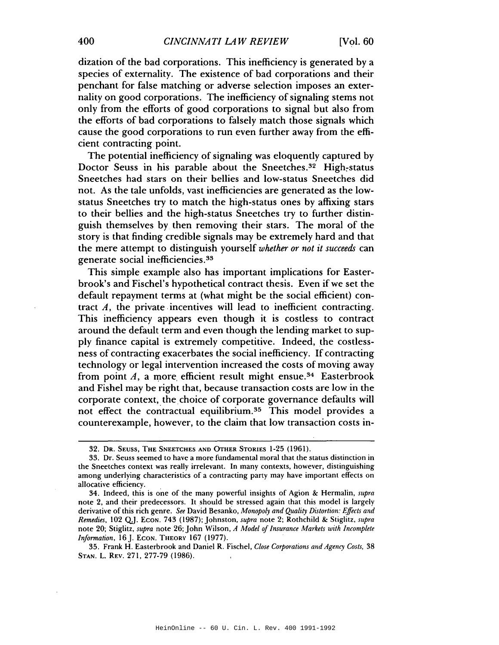dization of the bad corporations. This inefficiency is generated by a species of externality. The existence of bad corporations and their penchant for false matching or adverse selection imposes an externality on good corporations. The inefficiency of signaling stems not only from the efforts of good corporations to signal but also from the efforts of bad corporations to falsely match those signals which cause the good corporations to run even further away from the efficient contracting point.

The potential inefficiency of signaling was eloquently captured by Doctor Seuss in his parable about the Sneetches.<sup>32</sup> High-status Sneetches had stars on their bellies and low-status Sneetches did not. As the tale unfolds, vast inefficiencies are generated as the lowstatus Sneetches try to match the high-status ones by affixing stars to their bellies and the high-status Sneetches try to further distinguish themselves by then removing their stars. The moral of the story is that finding credible signals may be extremely hard and that the mere attempt to distinguish yourself *whether or not it succeeds* can generate social inefficiencies.33

This simple example also has important implications for Easterbrook's and Fischel's hypothetical contract thesis. Even if we set the default repayment terms at (what might be the social efficient) contract  $A$ , the private incentives will lead to inefficient contracting. This inefficiency appears even though it is costless to contract around the default term and even though the lending market to supply finance capital is extremely competitive. Indeed, the costlessness of contracting exacerbates the social inefficiency. If contracting technology or legal intervention increased the costs of moving away from point  $A$ , a more efficient result might ensue.<sup>34</sup> Easterbrook and Fishel may be right that, because transaction costs are low in the corporate context, the choice of corporate governance defaults will not effect the contractual equilibrium.35 This model provides a counterexample, however, to the claim that low transaction costs in-

<sup>32.</sup> DR. SEUSS, THE SNEETCHES AND OTHER STORIES 1-25 (1961).

<sup>33.</sup> Dr. Seuss seemed to have a more fundamental moral that the status distinction in the Sneetches context was really irrelevant. In many contexts, however, distinguishing among underlying characteristics of a contracting party may have important effects on allocative efficiency.

<sup>34.</sup> Indeed, this is one of the many powerful insights of Agion & Hermalin, *supra* note 2, and their predecessors. It should be stressed again that this model is largely derivative of this rich genre. *See* David Besanko, *Monopoly and Quality Distortion: Effects and Remedies.* 102 QJ. ECON. 743 (1987); Johnston, *supra* note 2; Rothchild & Stiglitz, *supra* note 20; Stiglitz. *supra* note 26; John Wilson, *A Model of Insurance Markets with Incomplete Information*, 16 J. ECON. THEORY 167 (1977).

<sup>35.</sup> Frank H. Easterbrook and Daniel R. Fischel, *Close Corporations and Agency Costs,* 38 STAN. L. REV. 271, 277-79 (1986).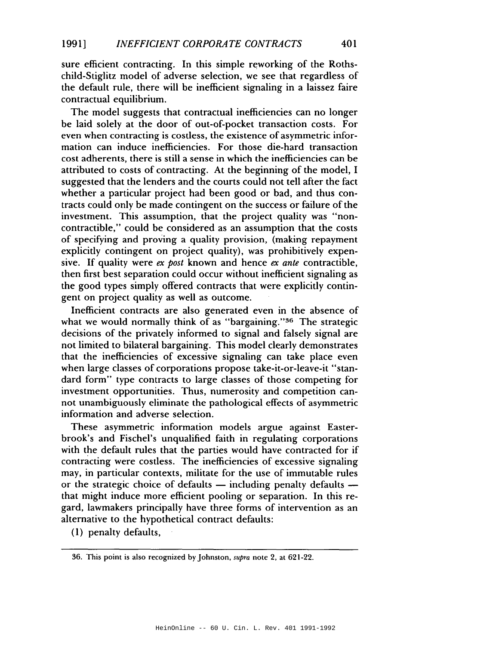sure efficient contracting. In this simple reworking of the Rothschild-Stiglitz model of adverse selection, we see that regardless of the default rule, there will be inefficient signaling in a laissez faire contractual equilibrium.

The model suggests that contractual inefficiencies can no longer be laid solely at the door of out-of-pocket transaction costs. For even when contracting is costless, the existence of asymmetric information can induce inefficiencies. For those die-hard transaction cost adherents, there is still a sense in which the inefficiencies can be attributed to costs of contracting. At the beginning of the model, I suggested that the lenders and the courts could not tell after the fact whether a particular project had been good or bad, and thus contracts could only be made contingent on the success or failure of the investment. This assumption, that the project quality was "noncontractible," could be considered as an assumption that the costs of specifying and proving a quality provision, (making repayment explicitly contingent on project quality), was prohibitively expensive. If quality were *ex post* known and hence *ex ante* contractible, then first best separation could occur without inefficient signaling as the good types simply offered contracts that were explicitly contingent on project quality as well as outcome.

Inefficient contracts are also generated even in the absence of what we would normally think of as "bargaining."<sup>36</sup> The strategic decisions of the privately informed to signal and falsely signal are not limited to bilateral bargaining. This model clearly demonstrates that the inefficiencies of excessive signaling can take place even when large classes of corporations propose take-it-or-leave-it "standard form" type contracts to large classes of those competing for investment opportunities. Thus, numerosity and competition cannot unambiguously eliminate the pathological effects of asymmetric information and adverse selection.

These asymmetric information models argue against Easterbrook's and Fischel's unqualified faith in regulating corporations with the default rules that the parties would have contracted for if contracting were costless. The inefficiencies of excessive signaling may, in particular contexts, militate for the use of immutable rules or the strategic choice of defaults  $-$  including penalty defaults  $$ that might induce more efficient pooling or separation. In this regard, lawmakers principally have three forms of intervention as an alternative to the hypothetical contract defaults:

(1) penalty defaults,

<sup>36.</sup> This point is also recognized by Johnston, *supra* note 2, at 621-22.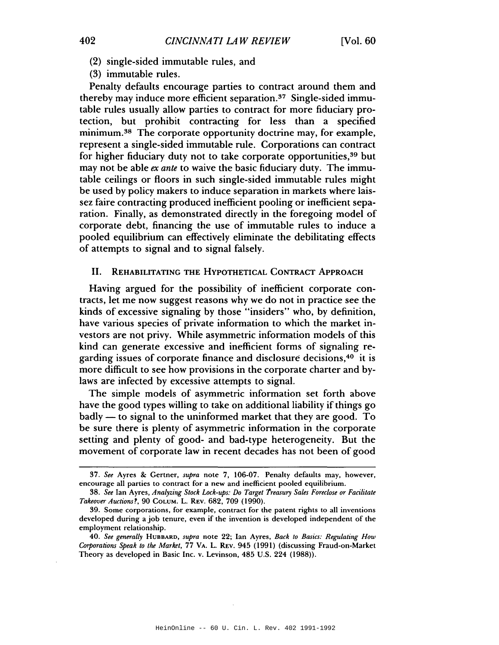- (2) single-sided immutable rules, and
- (3) immutable rules.

Penalty defaults encourage parties to contract around them and thereby may induce more efficient separation.37 Single-sided immutable rules usually allow parties to contract for more fiduciary protection, but prohibit contracting for less than a specified minimum.38 The corporate opportunity doctrine may, for example, represent a single-sided immutable rule. Corporations can contract for higher fiduciary duty not to take corporate opportunities,<sup>39</sup> but may not be able *ex ante* to waive the basic fiduciary duty. The immutable ceilings or floors in such single-sided immutable rules might be used by policy makers to induce separation in markets where laissez faire contracting produced inefficient pooling or inefficient separation. Finally, as demonstrated directly in the foregoing model of corporate debt, financing the use of immutable rules to induce a pooled equilibrium can effectively eliminate the debilitating effects of attempts to signal and to signal falsely.

## II. REHABILITATING THE HYPOTHETICAL CONTRACT ApPROACH

Having argued for the possibility of inefficient corporate contracts, let me now suggest reasons why we do not in practice see the kinds of excessive signaling by those "insiders" who, by definition, have various species of private information to which the market investors are not privy. While asymmetric information models of this kind can generate excessive and inefficient forms of signaling regarding issues of corporate finance and disclosure decisions,40 it is more difficult to see how provisions in the corporate charter and bylaws are infected by excessive attempts to signal.

The simple models of asymmetric information set forth above have the good types willing to take on additional liability if things go badly — to signal to the uninformed market that they are good. To be sure there is plenty of asymmetric information in the corporate setting and plenty of good- and bad-type heterogeneity. But the movement of corporate law in recent decades has not been of good

*<sup>37.</sup> See* Ayres & Gertner, *supra* note 7, 106-07. Penalty defaults may, however, encourage all parties to contract for a new and inefficient pooled equilibrium.

*<sup>38.</sup> See* Ian Ayres, *Analyzing Stock Lock-ups: Do Target treasury Sales Foreclose or Facilitate Takeover Auctions?,* 90 COLUM. L. REV. 682. 709 (1990).

<sup>39.</sup> Some corporations, for example, contract for the patent rights to all inventions developed during a job tenure, even if the invention is developed independent of the employment relationship.

*<sup>40.</sup> See generally* HUBBARD, *supra* note 22; Ian Ayres, *Back to Basics: Regulating How Corporations Speak to the Market,* 77 VA. L. REV. 945 (1991) (discussing Fraud-on-Market Theory as developed in Basic Inc. v. Levinson, 485 U.S. 224 (1988».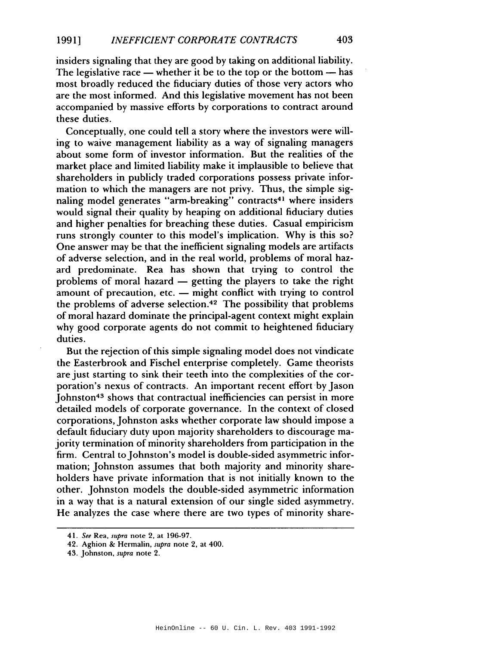insiders signaling that they are good by taking on additional liability. The legislative race  $-$  whether it be to the top or the bottom  $-$  has most broadly reduced the fiduciary duties of those very actors who are the most informed. And this legislative movement has not been accompanied by massive efforts by corporations to contract around these duties.

Conceptually, one could tell a story where the investors were willing to waive management liability as a way of signaling managers about some form of investor information. But the realities of the market place and limited liability make it implausible to believe that shareholders in publicly traded corporations possess private information to which the managers are not privy. Thus, the simple signaling model generates "arm-breaking" contracts<sup>41</sup> where insiders would signal their quality by heaping on additional fiduciary duties and higher penalties for breaching these duties. Casual empiricism runs strongly counter to this model's implication. Why is this so? One answer may be that the inefficient signaling models are artifacts of adverse selection, and in the real world, problems of moral hazard predominate. Rea has shown that trying to control the problems of moral hazard - getting the players to take the right amount of precaution, etc.  $-$  might conflict with trying to control the problems of adverse selection.42 The possibility that problems of moral hazard dominate the principal-agent context might explain why good corporate agents do not commit to heightened fiduciary duties.

But the rejection of this simple signaling model does not vindicate the Easterbrook and Fischel enterprise completely. Game theorists are just starting to sink their teeth into the complexities of the corporation's nexus of contracts. An important recent effort by Jason Johnston<sup>43</sup> shows that contractual inefficiencies can persist in more detailed models of corporate governance. In the context of closed corporations, Johnston asks whether corporate law should impose a default fiduciary duty upon majority shareholders to discourage majority termination of minority shareholders from participation in the firm. Central to Johnston's model is double-sided asymmetric information; Johnston assumes that both majority and minority shareholders have private information that is not initially known to the other. Johnston models the double-sided asymmetric information in a way that is a natural extension of our single sided asymmetry. He analyzes the case where there are two types of minority share-

*<sup>41.</sup> See* Rea, *supra* note 2, at 196-97.

<sup>42.</sup> Aghion & Hermalin, *supra* note 2, at 400.

<sup>43.</sup> Johnston, *supra* note 2.